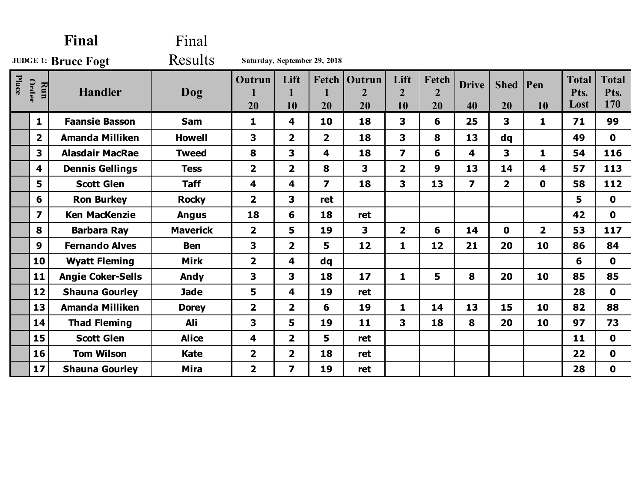| Final                      |                         |                          | Final           |                         |                         |                              |                                |                              |                               |                         |                   |                |                              |                             |
|----------------------------|-------------------------|--------------------------|-----------------|-------------------------|-------------------------|------------------------------|--------------------------------|------------------------------|-------------------------------|-------------------------|-------------------|----------------|------------------------------|-----------------------------|
| <b>JUDGE 1: Bruce Fogt</b> |                         |                          | Results         |                         |                         | Saturday, September 29, 2018 |                                |                              |                               |                         |                   |                |                              |                             |
| Place                      | Order<br>Run            | <b>Handler</b>           | Dog             | Outrun<br>20            | Lift<br>1<br>10         | Fetch<br>20                  | Outrun<br>$\overline{2}$<br>20 | Lift<br>$\overline{2}$<br>10 | Fetch<br>$\overline{2}$<br>20 | <b>Drive</b><br>40      | <b>Shed</b><br>20 | Pen<br>10      | <b>Total</b><br>Pts.<br>Lost | <b>Total</b><br>Pts.<br>170 |
|                            | $\mathbf{1}$            | <b>Faansie Basson</b>    | <b>Sam</b>      | 1                       | 4                       | 10                           | 18                             | 3                            | 6                             | 25                      | $\mathbf{3}$      | $\mathbf{1}$   | 71                           | 99                          |
|                            | $\overline{2}$          | <b>Amanda Milliken</b>   | <b>Howell</b>   | 3                       | $\overline{2}$          | $\overline{2}$               | 18                             | 3                            | 8                             | 13                      | dq                |                | 49                           | $\mathbf 0$                 |
|                            | 3                       | <b>Alasdair MacRae</b>   | <b>Tweed</b>    | 8                       | 3                       | 4                            | 18                             | $\overline{\mathbf{z}}$      | 6                             | 4                       | 3                 | $\mathbf{1}$   | 54                           | 116                         |
|                            | $\overline{\mathbf{4}}$ | <b>Dennis Gellings</b>   | <b>Tess</b>     | $\overline{\mathbf{2}}$ | $\overline{2}$          | 8                            | 3                              | $\overline{2}$               | 9                             | 13                      | 14                | 4              | 57                           | 113                         |
|                            | 5                       | <b>Scott Glen</b>        | <b>Taff</b>     | 4                       | 4                       | $\overline{\mathbf{z}}$      | 18                             | 3                            | 13                            | $\overline{\mathbf{z}}$ | $\overline{2}$    | $\mathbf 0$    | 58                           | 112                         |
|                            | 6                       | <b>Ron Burkey</b>        | <b>Rocky</b>    | $\overline{\mathbf{2}}$ | 3                       | ret                          |                                |                              |                               |                         |                   |                | 5                            | $\mathbf 0$                 |
|                            | $\overline{\mathbf{z}}$ | <b>Ken MacKenzie</b>     | <b>Angus</b>    | 18                      | 6                       | 18                           | ret                            |                              |                               |                         |                   |                | 42                           | $\mathbf 0$                 |
|                            | 8                       | <b>Barbara Ray</b>       | <b>Maverick</b> | $\overline{\mathbf{2}}$ | 5                       | 19                           | 3                              | $\overline{2}$               | 6                             | 14                      | $\mathbf{0}$      | $\overline{2}$ | 53                           | 117                         |
|                            | 9                       | <b>Fernando Alves</b>    | <b>Ben</b>      | 3                       | $\overline{2}$          | 5                            | 12                             | $\mathbf{1}$                 | 12                            | 21                      | 20                | 10             | 86                           | 84                          |
|                            | 10                      | <b>Wyatt Fleming</b>     | <b>Mirk</b>     | $\overline{\mathbf{2}}$ | 4                       | $\mathbf{dq}$                |                                |                              |                               |                         |                   |                | 6                            | $\mathbf 0$                 |
|                            | 11                      | <b>Angie Coker-Sells</b> | Andy            | 3                       | 3                       | 18                           | 17                             | $\mathbf{1}$                 | 5                             | 8                       | 20                | 10             | 85                           | 85                          |
|                            | 12                      | <b>Shauna Gourley</b>    | <b>Jade</b>     | 5                       | 4                       | 19                           | ret                            |                              |                               |                         |                   |                | 28                           | $\mathbf 0$                 |
|                            | 13                      | <b>Amanda Milliken</b>   | <b>Dorey</b>    | $\overline{2}$          | $\overline{2}$          | 6                            | 19                             | $\mathbf{1}$                 | 14                            | 13                      | 15                | 10             | 82                           | 88                          |
|                            | 14                      | <b>Thad Fleming</b>      | Ali             | 3                       | 5                       | 19                           | 11                             | 3                            | 18                            | 8                       | 20                | 10             | 97                           | 73                          |
|                            | 15                      | <b>Scott Glen</b>        | <b>Alice</b>    | 4                       | $\overline{\mathbf{2}}$ | 5                            | ret                            |                              |                               |                         |                   |                | 11                           | $\mathbf 0$                 |
|                            | 16                      | <b>Tom Wilson</b>        | <b>Kate</b>     | $\overline{\mathbf{2}}$ | $\overline{2}$          | 18                           | ret                            |                              |                               |                         |                   |                | 22                           | $\mathbf 0$                 |
|                            | 17                      | <b>Shauna Gourley</b>    | <b>Mira</b>     | $\overline{\mathbf{2}}$ | $\overline{\mathbf{z}}$ | 19                           | ret                            |                              |                               |                         |                   |                | 28                           | $\mathbf 0$                 |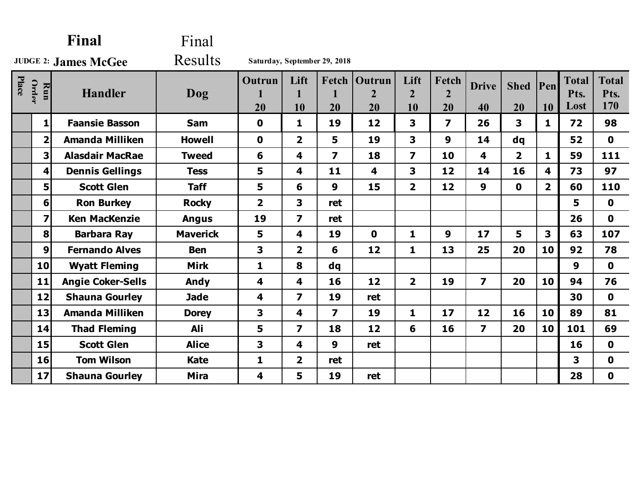| Final                       |                         |                          | Final           |                         |                         |                              |                                |                              |                               |                         |                |                         |                              |                             |
|-----------------------------|-------------------------|--------------------------|-----------------|-------------------------|-------------------------|------------------------------|--------------------------------|------------------------------|-------------------------------|-------------------------|----------------|-------------------------|------------------------------|-----------------------------|
| <b>JUDGE 2: James McGee</b> |                         |                          | <b>Results</b>  |                         |                         | Saturday, September 29, 2018 |                                |                              |                               |                         |                |                         |                              |                             |
| Place                       | Order<br>Run            | <b>Handler</b>           | Dog             | <b>Outrun</b><br>20     | Lift<br>10              | Fetch  <br>1<br>20           | Outrun<br>$\overline{2}$<br>20 | Lift<br>$\overline{2}$<br>10 | Fetch<br>$\overline{2}$<br>20 | <b>Drive</b><br>40      | Shed Pen<br>20 | 10                      | <b>Total</b><br>Pts.<br>Lost | <b>Total</b><br>Pts.<br>170 |
|                             | $1\vert$                | <b>Faansie Basson</b>    | <b>Sam</b>      | 0                       | 1                       | 19                           | 12                             | $\mathbf{3}$                 | $\overline{\mathbf{z}}$       | 26                      | 3              | $\mathbf{1}$            | 72                           | 98                          |
|                             | $\overline{\mathbf{2}}$ | <b>Amanda Milliken</b>   | <b>Howell</b>   | $\mathbf 0$             | $\overline{2}$          | 5                            | 19                             | 3                            | $\boldsymbol{9}$              | 14                      | dq             |                         | 52                           | $\mathbf 0$                 |
|                             | 3                       | <b>Alasdair MacRae</b>   | <b>Tweed</b>    | 6                       | 4                       | $\overline{\mathbf{z}}$      | 18                             | $\overline{\mathbf{z}}$      | 10                            | 4                       | $\overline{2}$ | $\mathbf{1}$            | 59                           | 111                         |
|                             | 4                       | <b>Dennis Gellings</b>   | <b>Tess</b>     | 5                       | 4                       | 11                           | 4                              | 3                            | 12                            | 14                      | 16             | $\overline{\mathbf{4}}$ | 73                           | 97                          |
|                             | 5                       | <b>Scott Glen</b>        | <b>Taff</b>     | 5                       | 6                       | $\boldsymbol{9}$             | 15                             | $\overline{2}$               | 12                            | $\boldsymbol{9}$        | $\mathbf 0$    | 2 <sup>1</sup>          | 60                           | 110                         |
|                             | 6                       | <b>Ron Burkey</b>        | <b>Rocky</b>    | $\overline{\mathbf{2}}$ | 3                       | ret                          |                                |                              |                               |                         |                |                         | 5                            | $\mathbf 0$                 |
|                             | $\overline{\mathbf{z}}$ | <b>Ken MacKenzie</b>     | <b>Angus</b>    | 19                      | $\overline{\mathbf{z}}$ | ret                          |                                |                              |                               |                         |                |                         | 26                           | $\mathbf 0$                 |
|                             | $\bf{8}$                | <b>Barbara Ray</b>       | <b>Maverick</b> | 5                       | 4                       | 19                           | $\mathbf 0$                    | $\mathbf{1}$                 | $\boldsymbol{9}$              | 17                      | 5              | 3                       | 63                           | 107                         |
|                             | 9                       | <b>Fernando Alves</b>    | <b>Ben</b>      | 3                       | $\overline{2}$          | 6                            | 12                             | $\mathbf{1}$                 | 13                            | 25                      | 20             | 10                      | 92                           | 78                          |
|                             | 10                      | <b>Wyatt Fleming</b>     | <b>Mirk</b>     | $\mathbf{1}$            | 8                       | dq                           |                                |                              |                               |                         |                |                         | 9                            | $\mathbf 0$                 |
|                             | 11                      | <b>Angie Coker-Sells</b> | Andy            | 4                       | 4                       | 16                           | 12                             | $\overline{2}$               | 19                            | $\overline{7}$          | 20             | 10                      | 94                           | 76                          |
|                             | 12                      | <b>Shauna Gourley</b>    | <b>Jade</b>     | 4                       | $\overline{\mathbf{z}}$ | 19                           | ret                            |                              |                               |                         |                |                         | 30                           | $\mathbf 0$                 |
|                             | 13                      | <b>Amanda Milliken</b>   | <b>Dorey</b>    | 3                       | 4                       | $\overline{\mathbf{z}}$      | 19                             | $\mathbf{1}$                 | 17                            | 12                      | 16             | 10                      | 89                           | 81                          |
|                             | 14                      | <b>Thad Fleming</b>      | Ali             | 5                       | $\overline{\mathbf{z}}$ | 18                           | 12                             | 6                            | 16                            | $\overline{\mathbf{z}}$ | 20             | 10                      | 101                          | 69                          |
|                             | 15                      | <b>Scott Glen</b>        | <b>Alice</b>    | 3                       | 4                       | $\boldsymbol{9}$             | ret                            |                              |                               |                         |                |                         | 16                           | $\mathbf 0$                 |
|                             | 16                      | <b>Tom Wilson</b>        | <b>Kate</b>     | 1                       | $\overline{2}$          | ret                          |                                |                              |                               |                         |                |                         | 3                            | $\mathbf 0$                 |
|                             | 17                      | <b>Shauna Gourley</b>    | <b>Mira</b>     | 4                       | 5                       | 19                           | ret                            |                              |                               |                         |                |                         | 28                           | $\mathbf 0$                 |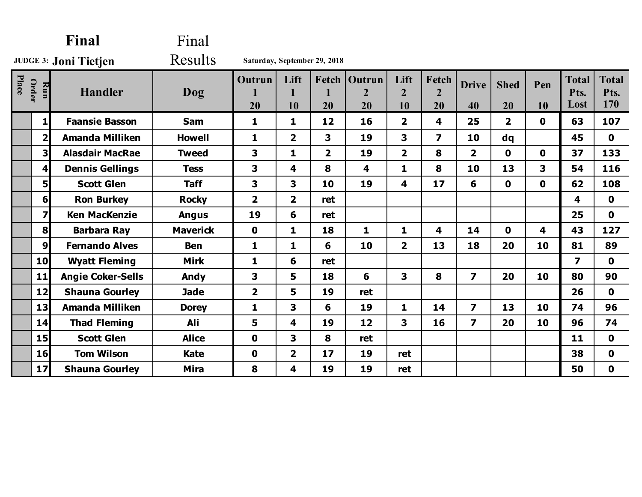|                              |                         | Final                    | Final           |                         |                         |                              |                                       |                              |                               |                         |                         |              |                              |                             |
|------------------------------|-------------------------|--------------------------|-----------------|-------------------------|-------------------------|------------------------------|---------------------------------------|------------------------------|-------------------------------|-------------------------|-------------------------|--------------|------------------------------|-----------------------------|
| <b>JUDGE 3: Joni Tietjen</b> |                         |                          | Results         |                         |                         | Saturday, September 29, 2018 |                                       |                              |                               |                         |                         |              |                              |                             |
| Place                        | <b>Order</b><br>Run     | <b>Handler</b>           | Dog             | Outrun<br>20            | Lift<br>10              | Fetch<br>20                  | <b>Outrun</b><br>$\overline{2}$<br>20 | Lift<br>$\overline{2}$<br>10 | Fetch<br>$\overline{2}$<br>20 | <b>Drive</b><br>40      | <b>Shed</b><br>20       | Pen<br>10    | <b>Total</b><br>Pts.<br>Lost | <b>Total</b><br>Pts.<br>170 |
|                              | 1                       | <b>Faansie Basson</b>    | <b>Sam</b>      | $\mathbf{1}$            | 1                       | 12                           | 16                                    | $\overline{\mathbf{2}}$      | 4                             | 25                      | $\overline{\mathbf{2}}$ | $\mathbf 0$  | 63                           | 107                         |
|                              | 2 <sup>1</sup>          | <b>Amanda Milliken</b>   | <b>Howell</b>   | $\mathbf{1}$            | $\overline{2}$          | 3                            | 19                                    | 3                            | $\overline{\mathbf{z}}$       | 10                      | dq                      |              | 45                           | $\mathbf 0$                 |
|                              | 3                       | <b>Alasdair MacRae</b>   | <b>Tweed</b>    | 3                       | $\mathbf{1}$            | $\overline{\mathbf{2}}$      | 19                                    | $\overline{2}$               | 8                             | $\overline{\mathbf{2}}$ | $\mathbf 0$             | $\mathbf 0$  | 37                           | 133                         |
|                              | 4                       | <b>Dennis Gellings</b>   | <b>Tess</b>     | 3                       | 4                       | 8                            | $\overline{\mathbf{4}}$               | $\mathbf{1}$                 | 8                             | 10                      | 13                      | 3            | 54                           | 116                         |
|                              | 5                       | <b>Scott Glen</b>        | <b>Taff</b>     | 3                       | 3                       | 10                           | 19                                    | 4                            | 17                            | 6                       | $\mathbf 0$             | $\mathbf{0}$ | 62                           | 108                         |
|                              | 6 <sup>1</sup>          | <b>Ron Burkey</b>        | <b>Rocky</b>    | $\overline{\mathbf{2}}$ | $\overline{\mathbf{2}}$ | ret                          |                                       |                              |                               |                         |                         |              | 4                            | $\mathbf 0$                 |
|                              | $\overline{\mathbf{z}}$ | <b>Ken MacKenzie</b>     | <b>Angus</b>    | 19                      | 6                       | ret                          |                                       |                              |                               |                         |                         |              | 25                           | $\mathbf 0$                 |
|                              | $\bf{8}$                | <b>Barbara Ray</b>       | <b>Maverick</b> | $\mathbf 0$             | 1                       | 18                           | $\mathbf{1}$                          | $\mathbf{1}$                 | 4                             | 14                      | $\mathbf 0$             | 4            | 43                           | 127                         |
|                              | 9 <sub>l</sub>          | <b>Fernando Alves</b>    | <b>Ben</b>      | $\mathbf{1}$            | 1                       | 6                            | 10                                    | $\overline{2}$               | 13                            | 18                      | 20                      | 10           | 81                           | 89                          |
|                              | 10                      | <b>Wyatt Fleming</b>     | <b>Mirk</b>     | $\mathbf{1}$            | 6                       | ret                          |                                       |                              |                               |                         |                         |              | $\overline{\mathbf{z}}$      | $\mathbf 0$                 |
|                              | 11                      | <b>Angie Coker-Sells</b> | Andy            | 3                       | 5                       | 18                           | 6                                     | 3                            | 8                             | $\overline{\mathbf{z}}$ | 20                      | 10           | 80                           | 90                          |
|                              | 12                      | <b>Shauna Gourley</b>    | <b>Jade</b>     | $\overline{\mathbf{2}}$ | 5                       | 19                           | ret                                   |                              |                               |                         |                         |              | 26                           | $\mathbf 0$                 |
|                              | 13                      | <b>Amanda Milliken</b>   | <b>Dorey</b>    | $\mathbf{1}$            | 3                       | 6                            | 19                                    | 1                            | 14                            | $\overline{\mathbf{z}}$ | 13                      | 10           | 74                           | 96                          |
|                              | 14                      | <b>Thad Fleming</b>      | Ali             | 5                       | 4                       | 19                           | 12                                    | 3                            | 16                            | $\overline{\mathbf{z}}$ | 20                      | 10           | 96                           | 74                          |
|                              | 15                      | <b>Scott Glen</b>        | <b>Alice</b>    | $\mathbf 0$             | 3                       | 8                            | ret                                   |                              |                               |                         |                         |              | 11                           | $\mathbf 0$                 |
|                              | 16                      | <b>Tom Wilson</b>        | <b>Kate</b>     | $\mathbf 0$             | $\overline{\mathbf{2}}$ | 17                           | 19                                    | ret                          |                               |                         |                         |              | 38                           | $\mathbf 0$                 |
|                              | 17                      | <b>Shauna Gourley</b>    | <b>Mira</b>     | 8                       | 4                       | 19                           | 19                                    | ret                          |                               |                         |                         |              | 50                           | $\mathbf 0$                 |